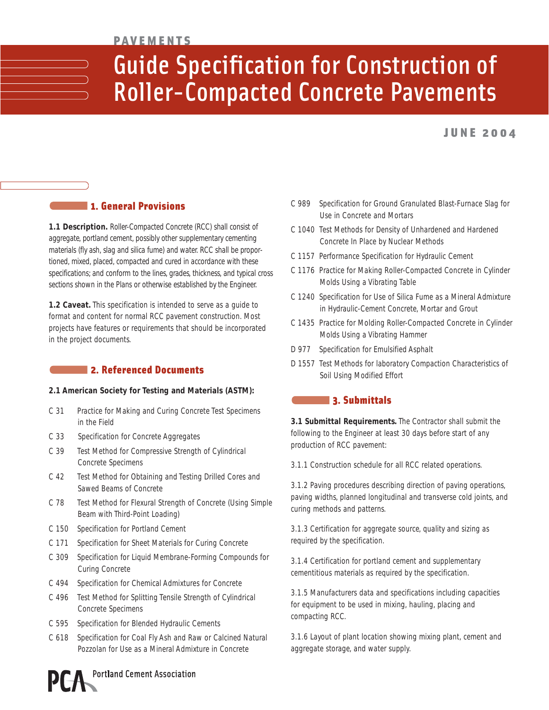## **PAVEMENTS**

## Guide Specification for Construction of Roller-Compacted Concrete Pavements

## JUNE 2004

## 1. General Provisions

**1.1 Description.** Roller-Compacted Concrete (RCC) shall consist of aggregate, portland cement, possibly other supplementary cementing materials (fly ash, slag and silica fume) and water. RCC shall be proportioned, mixed, placed, compacted and cured in accordance with these specifications; and conform to the lines, grades, thickness, and typical cross sections shown in the Plans or otherwise established by the Engineer.

**1.2 Caveat.** This specification is intended to serve as a guide to format and content for normal RCC pavement construction. Most projects have features or requirements that should be incorporated in the project documents.

## **2. Referenced Documents**

## **2.1 American Society for Testing and Materials (ASTM):**

- C 31 Practice for Making and Curing Concrete Test Specimens in the Field
- C 33 Specification for Concrete Aggregates
- C 39 Test Method for Compressive Strength of Cylindrical Concrete Specimens
- C 42 Test Method for Obtaining and Testing Drilled Cores and Sawed Beams of Concrete
- C 78 Test Method for Flexural Strength of Concrete (Using Simple Beam with Third-Point Loading)
- C 150 Specification for Portland Cement
- C 171 Specification for Sheet Materials for Curing Concrete
- C 309 Specification for Liquid Membrane-Forming Compounds for Curing Concrete
- C 494 Specification for Chemical Admixtures for Concrete
- C 496 Test Method for Splitting Tensile Strength of Cylindrical Concrete Specimens
- C 595 Specification for Blended Hydraulic Cements
- C 618 Specification for Coal Fly Ash and Raw or Calcined Natural Pozzolan for Use as a Mineral Admixture in Concrete



- C 1040 Test Methods for Density of Unhardened and Hardened Concrete In Place by Nuclear Methods
- C 1157 Performance Specification for Hydraulic Cement
- C 1176 Practice for Making Roller-Compacted Concrete in Cylinder Molds Using a Vibrating Table
- C 1240 Specification for Use of Silica Fume as a Mineral Admixture in Hydraulic-Cement Concrete, Mortar and Grout
- C 1435 Practice for Molding Roller-Compacted Concrete in Cylinder Molds Using a Vibrating Hammer
- D 977 Specification for Emulsified Asphalt
- D 1557 Test Methods for laboratory Compaction Characteristics of Soil Using Modified Effort

## 3. Submittals

**3.1 Submittal Requirements.** The Contractor shall submit the following to the Engineer at least 30 days before start of any production of RCC pavement:

3.1.1 Construction schedule for all RCC related operations.

3.1.2 Paving procedures describing direction of paving operations, paving widths, planned longitudinal and transverse cold joints, and curing methods and patterns.

3.1.3 Certification for aggregate source, quality and sizing as required by the specification.

3.1.4 Certification for portland cement and supplementary cementitious materials as required by the specification.

3.1.5 Manufacturers data and specifications including capacities for equipment to be used in mixing, hauling, placing and compacting RCC.

3.1.6 Layout of plant location showing mixing plant, cement and aggregate storage, and water supply.

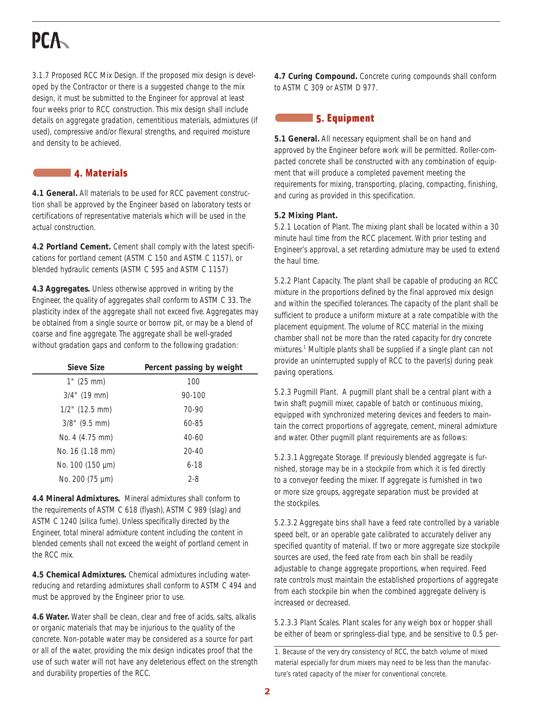## **PCA**

3.1.7 Proposed RCC Mix Design. If the proposed mix design is developed by the Contractor or there is a suggested change to the mix design, it must be submitted to the Engineer for approval at least four weeks prior to RCC construction. This mix design shall include details on aggregate gradation, cementitious materials, admixtures (if used), compressive and/or flexural strengths, and required moisture and density to be achieved.

## 4. Materials

**4.1 General.** All materials to be used for RCC pavement construction shall be approved by the Engineer based on laboratory tests or certifications of representative materials which will be used in the actual construction.

**4.2 Portland Cement.** Cement shall comply with the latest specifications for portland cement (ASTM C 150 and ASTM C 1157), or blended hydraulic cements (ASTM C 595 and ASTM C 1157)

**4.3 Aggregates.** Unless otherwise approved in writing by the Engineer, the quality of aggregates shall conform to ASTM C 33. The plasticity index of the aggregate shall not exceed five. Aggregates may be obtained from a single source or borrow pit, or may be a blend of coarse and fine aggregate. The aggregate shall be well-graded without gradation gaps and conform to the following gradation:

| Sieve Size        | Percent passing by weight |
|-------------------|---------------------------|
| $1"$ (25 mm)      | 100                       |
| $3/4$ " (19 mm)   | 90-100                    |
| $1/2$ " (12.5 mm) | $70-90$                   |
| $3/8$ " (9.5 mm)  | 60-85                     |
| No. 4 (4.75 mm)   | $40 - 60$                 |
| No. 16 (1.18 mm)  | $20 - 40$                 |
| No. 100 (150 µm)  | $6 - 18$                  |
| No. 200 (75 µm)   | $2 - 8$                   |

**4.4 Mineral Admixtures.** Mineral admixtures shall conform to the requirements of ASTM C 618 (flyash), ASTM C 989 (slag) and ASTM C 1240 (silica fume). Unless specifically directed by the Engineer, total mineral admixture content including the content in blended cements shall not exceed the weight of portland cement in the RCC mix.

**4.5 Chemical Admixtures.** Chemical admixtures including waterreducing and retarding admixtures shall conform to ASTM C 494 and must be approved by the Engineer prior to use.

**4.6 Water.** Water shall be clean, clear and free of acids, salts, alkalis or organic materials that may be injurious to the quality of the concrete. Non-potable water may be considered as a source for part or all of the water, providing the mix design indicates proof that the use of such water will not have any deleterious effect on the strength and durability properties of the RCC.

**4.7 Curing Compound.** Concrete curing compounds shall conform to ASTM C 309 or ASTM D 977.

## **5. Equipment**

**5.1 General.** All necessary equipment shall be on hand and approved by the Engineer before work will be permitted. Roller-compacted concrete shall be constructed with any combination of equipment that will produce a completed pavement meeting the requirements for mixing, transporting, placing, compacting, finishing, and curing as provided in this specification.

### **5.2 Mixing Plant.**

5.2.1 Location of Plant. The mixing plant shall be located within a 30 minute haul time from the RCC placement. With prior testing and Engineer's approval, a set retarding admixture may be used to extend the haul time.

5.2.2 Plant Capacity. The plant shall be capable of producing an RCC mixture in the proportions defined by the final approved mix design and within the specified tolerances. The capacity of the plant shall be sufficient to produce a uniform mixture at a rate compatible with the placement equipment. The volume of RCC material in the mixing chamber shall not be more than the rated capacity for dry concrete mixtures.<sup>1</sup> Multiple plants shall be supplied if a single plant can not provide an uninterrupted supply of RCC to the paver(s) during peak paving operations.

5.2.3 Pugmill Plant. A pugmill plant shall be a central plant with a twin shaft pugmill mixer, capable of batch or continuous mixing, equipped with synchronized metering devices and feeders to maintain the correct proportions of aggregate, cement, mineral admixture and water. Other pugmill plant requirements are as follows:

5.2.3.1 Aggregate Storage. If previously blended aggregate is furnished, storage may be in a stockpile from which it is fed directly to a conveyor feeding the mixer. If aggregate is furnished in two or more size groups, aggregate separation must be provided at the stockpiles.

5.2.3.2 Aggregate bins shall have a feed rate controlled by a variable speed belt, or an operable gate calibrated to accurately deliver any specified quantity of material. If two or more aggregate size stockpile sources are used, the feed rate from each bin shall be readily adjustable to change aggregate proportions, when required. Feed rate controls must maintain the established proportions of aggregate from each stockpile bin when the combined aggregate delivery is increased or decreased.

5.2.3.3 Plant Scales. Plant scales for any weigh box or hopper shall be either of beam or springless-dial type, and be sensitive to 0.5 per-

<sup>1.</sup> Because of the very dry consistency of RCC, the batch volume of mixed material especially for drum mixers may need to be less than the manufacture's rated capacity of the mixer for conventional concrete.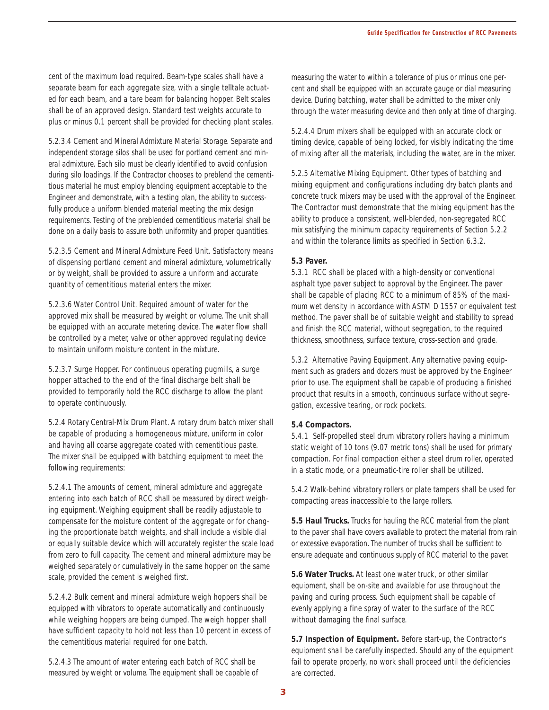cent of the maximum load required. Beam-type scales shall have a separate beam for each aggregate size, with a single telltale actuated for each beam, and a tare beam for balancing hopper. Belt scales shall be of an approved design. Standard test weights accurate to plus or minus 0.1 percent shall be provided for checking plant scales.

5.2.3.4 Cement and Mineral Admixture Material Storage. Separate and independent storage silos shall be used for portland cement and mineral admixture. Each silo must be clearly identified to avoid confusion during silo loadings. If the Contractor chooses to preblend the cementitious material he must employ blending equipment acceptable to the Engineer and demonstrate, with a testing plan, the ability to successfully produce a uniform blended material meeting the mix design requirements. Testing of the preblended cementitious material shall be done on a daily basis to assure both uniformity and proper quantities.

5.2.3.5 Cement and Mineral Admixture Feed Unit. Satisfactory means of dispensing portland cement and mineral admixture, volumetrically or by weight, shall be provided to assure a uniform and accurate quantity of cementitious material enters the mixer.

5.2.3.6 Water Control Unit. Required amount of water for the approved mix shall be measured by weight or volume. The unit shall be equipped with an accurate metering device. The water flow shall be controlled by a meter, valve or other approved regulating device to maintain uniform moisture content in the mixture.

5.2.3.7 Surge Hopper. For continuous operating pugmills, a surge hopper attached to the end of the final discharge belt shall be provided to temporarily hold the RCC discharge to allow the plant to operate continuously.

5.2.4 Rotary Central-Mix Drum Plant. A rotary drum batch mixer shall be capable of producing a homogeneous mixture, uniform in color and having all coarse aggregate coated with cementitious paste. The mixer shall be equipped with batching equipment to meet the following requirements:

5.2.4.1 The amounts of cement, mineral admixture and aggregate entering into each batch of RCC shall be measured by direct weighing equipment. Weighing equipment shall be readily adjustable to compensate for the moisture content of the aggregate or for changing the proportionate batch weights, and shall include a visible dial or equally suitable device which will accurately register the scale load from zero to full capacity. The cement and mineral admixture may be weighed separately or cumulatively in the same hopper on the same scale, provided the cement is weighed first.

5.2.4.2 Bulk cement and mineral admixture weigh hoppers shall be equipped with vibrators to operate automatically and continuously while weighing hoppers are being dumped. The weigh hopper shall have sufficient capacity to hold not less than 10 percent in excess of the cementitious material required for one batch.

5.2.4.3 The amount of water entering each batch of RCC shall be measured by weight or volume. The equipment shall be capable of measuring the water to within a tolerance of plus or minus one percent and shall be equipped with an accurate gauge or dial measuring device. During batching, water shall be admitted to the mixer only through the water measuring device and then only at time of charging.

5.2.4.4 Drum mixers shall be equipped with an accurate clock or timing device, capable of being locked, for visibly indicating the time of mixing after all the materials, including the water, are in the mixer.

5.2.5 Alternative Mixing Equipment. Other types of batching and mixing equipment and configurations including dry batch plants and concrete truck mixers may be used with the approval of the Engineer. The Contractor must demonstrate that the mixing equipment has the ability to produce a consistent, well-blended, non-segregated RCC mix satisfying the minimum capacity requirements of Section 5.2.2 and within the tolerance limits as specified in Section 6.3.2.

#### **5.3 Paver.**

5.3.1 RCC shall be placed with a high-density or conventional asphalt type paver subject to approval by the Engineer. The paver shall be capable of placing RCC to a minimum of 85% of the maximum wet density in accordance with ASTM D 1557 or equivalent test method. The paver shall be of suitable weight and stability to spread and finish the RCC material, without segregation, to the required thickness, smoothness, surface texture, cross-section and grade.

5.3.2 Alternative Paving Equipment. Any alternative paving equipment such as graders and dozers must be approved by the Engineer prior to use. The equipment shall be capable of producing a finished product that results in a smooth, continuous surface without segregation, excessive tearing, or rock pockets.

#### **5.4 Compactors.**

5.4.1 Self-propelled steel drum vibratory rollers having a minimum static weight of 10 tons (9.07 metric tons) shall be used for primary compaction. For final compaction either a steel drum roller, operated in a static mode, or a pneumatic-tire roller shall be utilized.

5.4.2 Walk-behind vibratory rollers or plate tampers shall be used for compacting areas inaccessible to the large rollers.

**5.5 Haul Trucks.** Trucks for hauling the RCC material from the plant to the paver shall have covers available to protect the material from rain or excessive evaporation. The number of trucks shall be sufficient to ensure adequate and continuous supply of RCC material to the paver.

**5.6 Water Trucks.** At least one water truck, or other similar equipment, shall be on-site and available for use throughout the paving and curing process. Such equipment shall be capable of evenly applying a fine spray of water to the surface of the RCC without damaging the final surface.

**5.7 Inspection of Equipment.** Before start-up, the Contractor's equipment shall be carefully inspected. Should any of the equipment fail to operate properly, no work shall proceed until the deficiencies are corrected.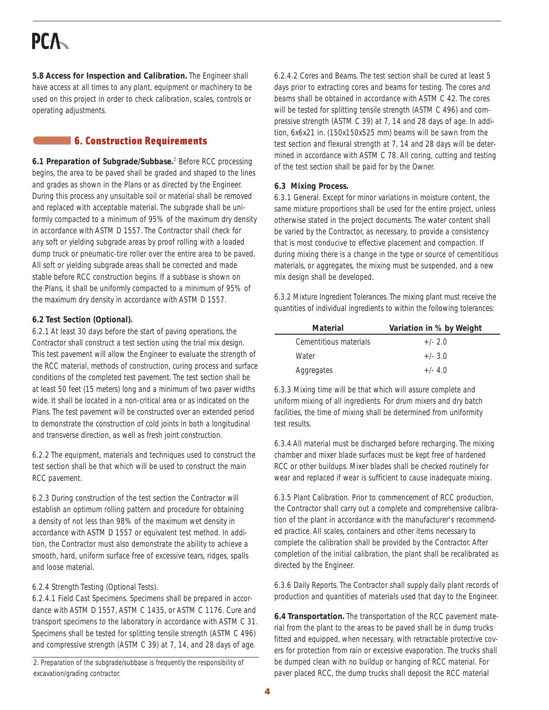# **PCA**

**5.8 Access for Inspection and Calibration.** The Engineer shall have access at all times to any plant, equipment or machinery to be used on this project in order to check calibration, scales, controls or operating adjustments.

## **6. Construction Requirements**

**6.1 Preparation of Subgrade/Subbase.**<sup>2</sup> Before RCC processing begins, the area to be paved shall be graded and shaped to the lines and grades as shown in the Plans or as directed by the Engineer. During this process any unsuitable soil or material shall be removed and replaced with acceptable material. The subgrade shall be uniformly compacted to a minimum of 95% of the maximum dry density in accordance with ASTM D 1557. The Contractor shall check for any soft or yielding subgrade areas by proof rolling with a loaded dump truck or pneumatic-tire roller over the entire area to be paved. All soft or yielding subgrade areas shall be corrected and made stable before RCC construction begins. If a subbase is shown on the Plans, it shall be uniformly compacted to a minimum of 95% of the maximum dry density in accordance with ASTM D 1557.

## **6.2 Test Section (Optional).**

6.2.1 At least 30 days before the start of paving operations, the Contractor shall construct a test section using the trial mix design. This test pavement will allow the Engineer to evaluate the strength of the RCC material, methods of construction, curing process and surface conditions of the completed test pavement. The test section shall be at least 50 feet (15 meters) long and a minimum of two paver widths wide. It shall be located in a non-critical area or as indicated on the Plans. The test pavement will be constructed over an extended period to demonstrate the construction of cold joints in both a longitudinal and transverse direction, as well as fresh joint construction.

6.2.2 The equipment, materials and techniques used to construct the test section shall be that which will be used to construct the main RCC pavement.

6.2.3 During construction of the test section the Contractor will establish an optimum rolling pattern and procedure for obtaining a density of not less than 98% of the maximum wet density in accordance with ASTM D 1557 or equivalent test method. In addition, the Contractor must also demonstrate the ability to achieve a smooth, hard, uniform surface free of excessive tears, ridges, spalls and loose material.

## 6.2.4 Strength Testing (Optional Tests).

6.2.4.1 Field Cast Specimens. Specimens shall be prepared in accordance with ASTM D 1557, ASTM C 1435, or ASTM C 1176. Cure and transport specimens to the laboratory in accordance with ASTM C 31. Specimens shall be tested for splitting tensile strength (ASTM C 496) and compressive strength (ASTM C 39) at 7, 14, and 28 days of age.

2. Preparation of the subgrade/subbase is frequently the responsibility of excavation/grading contractor.

6.2.4.2 Cores and Beams. The test section shall be cured at least 5 days prior to extracting cores and beams for testing. The cores and beams shall be obtained in accordance with ASTM C 42. The cores will be tested for splitting tensile strength (ASTM C 496) and compressive strength (ASTM C 39) at 7, 14 and 28 days of age. In addition, 6x6x21 in. (150x150x525 mm) beams will be sawn from the test section and flexural strength at 7, 14 and 28 days will be determined in accordance with ASTM C 78. All coring, cutting and testing of the test section shall be paid for by the Owner.

### **6.3 Mixing Process.**

6.3.1 General. Except for minor variations in moisture content, the same mixture proportions shall be used for the entire project, unless otherwise stated in the project documents. The water content shall be varied by the Contractor, as necessary, to provide a consistency that is most conducive to effective placement and compaction. If during mixing there is a change in the type or source of cementitious materials, or aggregates, the mixing must be suspended, and a new mix design shall be developed.

6.3.2 Mixture Ingredient Tolerances. The mixing plant must receive the quantities of individual ingredients to within the following tolerances:

| Material               | Variation in % by Weight |
|------------------------|--------------------------|
| Cementitious materials | $+/- 2.0$                |
| Water                  | $+/- 3.0$                |
| Aggregates             | $+/- 4.0$                |

6.3.3 Mixing time will be that which will assure complete and uniform mixing of all ingredients. For drum mixers and dry batch facilities, the time of mixing shall be determined from uniformity test results.

6.3.4 All material must be discharged before recharging. The mixing chamber and mixer blade surfaces must be kept free of hardened RCC or other buildups. Mixer blades shall be checked routinely for wear and replaced if wear is sufficient to cause inadequate mixing.

6.3.5 Plant Calibration. Prior to commencement of RCC production, the Contractor shall carry out a complete and comprehensive calibration of the plant in accordance with the manufacturer's recommended practice. All scales, containers and other items necessary to complete the calibration shall be provided by the Contractor. After completion of the initial calibration, the plant shall be recalibrated as directed by the Engineer.

6.3.6 Daily Reports. The Contractor shall supply daily plant records of production and quantities of materials used that day to the Engineer.

**6.4 Transportation.** The transportation of the RCC pavement material from the plant to the areas to be paved shall be in dump trucks fitted and equipped, when necessary, with retractable protective covers for protection from rain or excessive evaporation. The trucks shall be dumped clean with no buildup or hanging of RCC material. For paver placed RCC, the dump trucks shall deposit the RCC material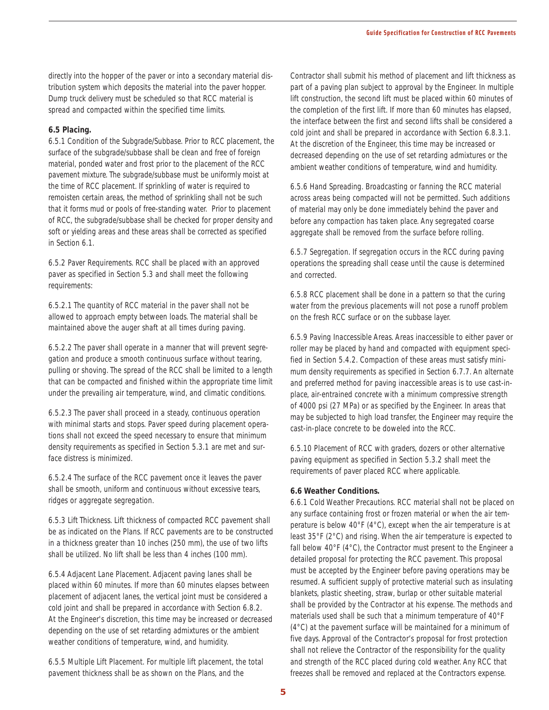directly into the hopper of the paver or into a secondary material distribution system which deposits the material into the paver hopper. Dump truck delivery must be scheduled so that RCC material is spread and compacted within the specified time limits.

#### **6.5 Placing.**

6.5.1 Condition of the Subgrade/Subbase. Prior to RCC placement, the surface of the subgrade/subbase shall be clean and free of foreign material, ponded water and frost prior to the placement of the RCC pavement mixture. The subgrade/subbase must be uniformly moist at the time of RCC placement. If sprinkling of water is required to remoisten certain areas, the method of sprinkling shall not be such that it forms mud or pools of free-standing water. Prior to placement of RCC, the subgrade/subbase shall be checked for proper density and soft or yielding areas and these areas shall be corrected as specified in Section 6.1.

6.5.2 Paver Requirements. RCC shall be placed with an approved paver as specified in Section 5.3 and shall meet the following requirements:

6.5.2.1 The quantity of RCC material in the paver shall not be allowed to approach empty between loads. The material shall be maintained above the auger shaft at all times during paving.

6.5.2.2 The paver shall operate in a manner that will prevent segregation and produce a smooth continuous surface without tearing, pulling or shoving. The spread of the RCC shall be limited to a length that can be compacted and finished within the appropriate time limit under the prevailing air temperature, wind, and climatic conditions.

6.5.2.3 The paver shall proceed in a steady, continuous operation with minimal starts and stops. Paver speed during placement operations shall not exceed the speed necessary to ensure that minimum density requirements as specified in Section 5.3.1 are met and surface distress is minimized.

6.5.2.4 The surface of the RCC pavement once it leaves the paver shall be smooth, uniform and continuous without excessive tears, ridges or aggregate segregation.

6.5.3 Lift Thickness. Lift thickness of compacted RCC pavement shall be as indicated on the Plans. If RCC pavements are to be constructed in a thickness greater than 10 inches (250 mm), the use of two lifts shall be utilized. No lift shall be less than 4 inches (100 mm).

6.5.4 Adjacent Lane Placement. Adjacent paving lanes shall be placed within 60 minutes. If more than 60 minutes elapses between placement of adjacent lanes, the vertical joint must be considered a cold joint and shall be prepared in accordance with Section 6.8.2. At the Engineer's discretion, this time may be increased or decreased depending on the use of set retarding admixtures or the ambient weather conditions of temperature, wind, and humidity.

6.5.5 Multiple Lift Placement. For multiple lift placement, the total pavement thickness shall be as shown on the Plans, and the

Contractor shall submit his method of placement and lift thickness as part of a paving plan subject to approval by the Engineer. In multiple lift construction, the second lift must be placed within 60 minutes of the completion of the first lift. If more than 60 minutes has elapsed, the interface between the first and second lifts shall be considered a cold joint and shall be prepared in accordance with Section 6.8.3.1. At the discretion of the Engineer, this time may be increased or decreased depending on the use of set retarding admixtures or the ambient weather conditions of temperature, wind and humidity.

6.5.6 Hand Spreading. Broadcasting or fanning the RCC material across areas being compacted will not be permitted. Such additions of material may only be done immediately behind the paver and before any compaction has taken place. Any segregated coarse aggregate shall be removed from the surface before rolling.

6.5.7 Segregation. If segregation occurs in the RCC during paving operations the spreading shall cease until the cause is determined and corrected.

6.5.8 RCC placement shall be done in a pattern so that the curing water from the previous placements will not pose a runoff problem on the fresh RCC surface or on the subbase layer.

6.5.9 Paving Inaccessible Areas. Areas inaccessible to either paver or roller may be placed by hand and compacted with equipment specified in Section 5.4.2. Compaction of these areas must satisfy minimum density requirements as specified in Section 6.7.7. An alternate and preferred method for paving inaccessible areas is to use cast-inplace, air-entrained concrete with a minimum compressive strength of 4000 psi (27 MPa) or as specified by the Engineer. In areas that may be subjected to high load transfer, the Engineer may require the cast-in-place concrete to be doweled into the RCC.

6.5.10 Placement of RCC with graders, dozers or other alternative paving equipment as specified in Section 5.3.2 shall meet the requirements of paver placed RCC where applicable.

#### **6.6 Weather Conditions.**

6.6.1 Cold Weather Precautions. RCC material shall not be placed on any surface containing frost or frozen material or when the air temperature is below 40°F (4°C), except when the air temperature is at least 35°F (2°C) and rising. When the air temperature is expected to fall below 40°F (4°C), the Contractor must present to the Engineer a detailed proposal for protecting the RCC pavement. This proposal must be accepted by the Engineer before paving operations may be resumed. A sufficient supply of protective material such as insulating blankets, plastic sheeting, straw, burlap or other suitable material shall be provided by the Contractor at his expense. The methods and materials used shall be such that a minimum temperature of 40°F (4°C) at the pavement surface will be maintained for a minimum of five days. Approval of the Contractor's proposal for frost protection shall not relieve the Contractor of the responsibility for the quality and strength of the RCC placed during cold weather. Any RCC that freezes shall be removed and replaced at the Contractors expense.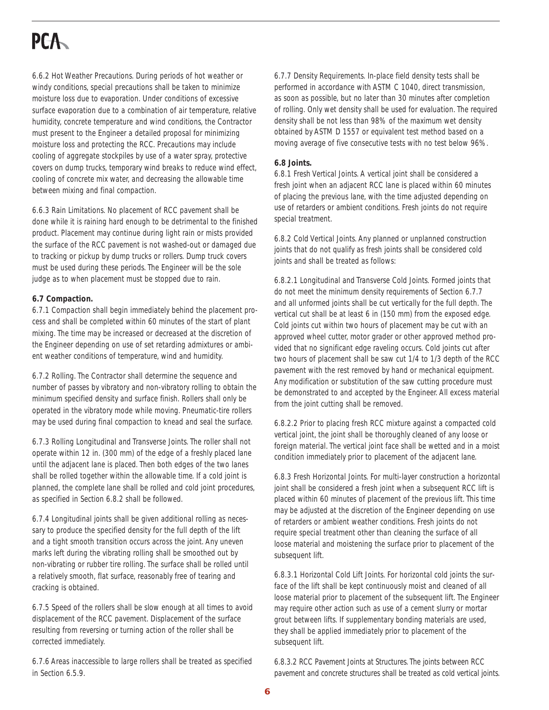# **PCA**

6.6.2 Hot Weather Precautions. During periods of hot weather or windy conditions, special precautions shall be taken to minimize moisture loss due to evaporation. Under conditions of excessive surface evaporation due to a combination of air temperature, relative humidity, concrete temperature and wind conditions, the Contractor must present to the Engineer a detailed proposal for minimizing moisture loss and protecting the RCC. Precautions may include cooling of aggregate stockpiles by use of a water spray, protective covers on dump trucks, temporary wind breaks to reduce wind effect, cooling of concrete mix water, and decreasing the allowable time between mixing and final compaction.

6.6.3 Rain Limitations. No placement of RCC pavement shall be done while it is raining hard enough to be detrimental to the finished product. Placement may continue during light rain or mists provided the surface of the RCC pavement is not washed-out or damaged due to tracking or pickup by dump trucks or rollers. Dump truck covers must be used during these periods. The Engineer will be the sole judge as to when placement must be stopped due to rain.

#### **6.7 Compaction.**

6.7.1 Compaction shall begin immediately behind the placement process and shall be completed within 60 minutes of the start of plant mixing. The time may be increased or decreased at the discretion of the Engineer depending on use of set retarding admixtures or ambient weather conditions of temperature, wind and humidity.

6.7.2 Rolling. The Contractor shall determine the sequence and number of passes by vibratory and non-vibratory rolling to obtain the minimum specified density and surface finish. Rollers shall only be operated in the vibratory mode while moving. Pneumatic-tire rollers may be used during final compaction to knead and seal the surface.

6.7.3 Rolling Longitudinal and Transverse Joints. The roller shall not operate within 12 in. (300 mm) of the edge of a freshly placed lane until the adjacent lane is placed. Then both edges of the two lanes shall be rolled together within the allowable time. If a cold joint is planned, the complete lane shall be rolled and cold joint procedures, as specified in Section 6.8.2 shall be followed.

6.7.4 Longitudinal joints shall be given additional rolling as necessary to produce the specified density for the full depth of the lift and a tight smooth transition occurs across the joint. Any uneven marks left during the vibrating rolling shall be smoothed out by non-vibrating or rubber tire rolling. The surface shall be rolled until a relatively smooth, flat surface, reasonably free of tearing and cracking is obtained.

6.7.5 Speed of the rollers shall be slow enough at all times to avoid displacement of the RCC pavement. Displacement of the surface resulting from reversing or turning action of the roller shall be corrected immediately.

6.7.6 Areas inaccessible to large rollers shall be treated as specified in Section 6.5.9.

6.7.7 Density Requirements. In-place field density tests shall be performed in accordance with ASTM C 1040, direct transmission, as soon as possible, but no later than 30 minutes after completion of rolling. Only wet density shall be used for evaluation. The required density shall be not less than 98% of the maximum wet density obtained by ASTM D 1557 or equivalent test method based on a moving average of five consecutive tests with no test below 96%.

### **6.8 Joints.**

6.8.1 Fresh Vertical Joints. A vertical joint shall be considered a fresh joint when an adjacent RCC lane is placed within 60 minutes of placing the previous lane, with the time adjusted depending on use of retarders or ambient conditions. Fresh joints do not require special treatment.

6.8.2 Cold Vertical Joints. Any planned or unplanned construction joints that do not qualify as fresh joints shall be considered cold joints and shall be treated as follows:

6.8.2.1 Longitudinal and Transverse Cold Joints. Formed joints that do not meet the minimum density requirements of Section 6.7.7 and all unformed joints shall be cut vertically for the full depth. The vertical cut shall be at least 6 in (150 mm) from the exposed edge. Cold joints cut within two hours of placement may be cut with an approved wheel cutter, motor grader or other approved method provided that no significant edge raveling occurs. Cold joints cut after two hours of placement shall be saw cut 1/4 to 1/3 depth of the RCC pavement with the rest removed by hand or mechanical equipment. Any modification or substitution of the saw cutting procedure must be demonstrated to and accepted by the Engineer. All excess material from the joint cutting shall be removed.

6.8.2.2 Prior to placing fresh RCC mixture against a compacted cold vertical joint, the joint shall be thoroughly cleaned of any loose or foreign material. The vertical joint face shall be wetted and in a moist condition immediately prior to placement of the adjacent lane.

6.8.3 Fresh Horizontal Joints. For multi-layer construction a horizontal joint shall be considered a fresh joint when a subsequent RCC lift is placed within 60 minutes of placement of the previous lift. This time may be adjusted at the discretion of the Engineer depending on use of retarders or ambient weather conditions. Fresh joints do not require special treatment other than cleaning the surface of all loose material and moistening the surface prior to placement of the subsequent lift.

6.8.3.1 Horizontal Cold Lift Joints. For horizontal cold joints the surface of the lift shall be kept continuously moist and cleaned of all loose material prior to placement of the subsequent lift. The Engineer may require other action such as use of a cement slurry or mortar grout between lifts. If supplementary bonding materials are used, they shall be applied immediately prior to placement of the subsequent lift.

6.8.3.2 RCC Pavement Joints at Structures. The joints between RCC pavement and concrete structures shall be treated as cold vertical joints.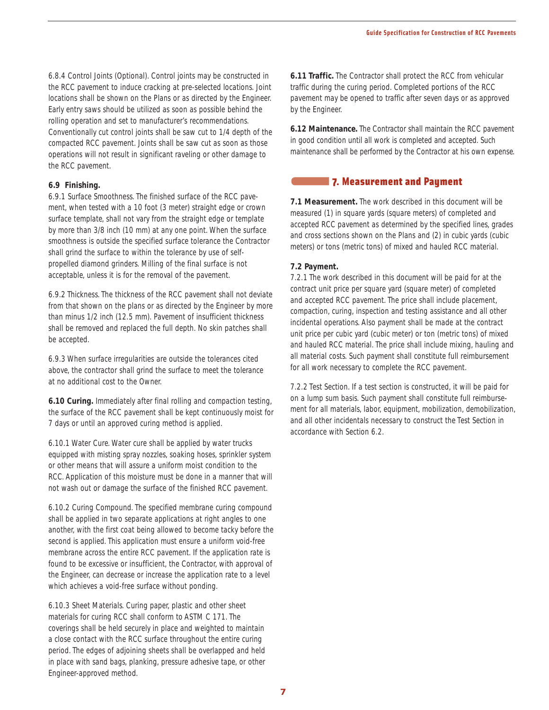6.8.4 Control Joints (Optional). Control joints may be constructed in the RCC pavement to induce cracking at pre-selected locations. Joint locations shall be shown on the Plans or as directed by the Engineer. Early entry saws should be utilized as soon as possible behind the rolling operation and set to manufacturer's recommendations. Conventionally cut control joints shall be saw cut to 1/4 depth of the compacted RCC pavement. Joints shall be saw cut as soon as those operations will not result in significant raveling or other damage to the RCC pavement.

#### **6.9 Finishing.**

6.9.1 Surface Smoothness. The finished surface of the RCC pavement, when tested with a 10 foot (3 meter) straight edge or crown surface template, shall not vary from the straight edge or template by more than 3/8 inch (10 mm) at any one point. When the surface smoothness is outside the specified surface tolerance the Contractor shall grind the surface to within the tolerance by use of selfpropelled diamond grinders. Milling of the final surface is not acceptable, unless it is for the removal of the pavement.

6.9.2 Thickness. The thickness of the RCC pavement shall not deviate from that shown on the plans or as directed by the Engineer by more than minus 1/2 inch (12.5 mm). Pavement of insufficient thickness shall be removed and replaced the full depth. No skin patches shall be accepted.

6.9.3 When surface irregularities are outside the tolerances cited above, the contractor shall grind the surface to meet the tolerance at no additional cost to the Owner.

**6.10 Curing.** Immediately after final rolling and compaction testing, the surface of the RCC pavement shall be kept continuously moist for 7 days or until an approved curing method is applied.

6.10.1 Water Cure. Water cure shall be applied by water trucks equipped with misting spray nozzles, soaking hoses, sprinkler system or other means that will assure a uniform moist condition to the RCC. Application of this moisture must be done in a manner that will not wash out or damage the surface of the finished RCC pavement.

6.10.2 Curing Compound. The specified membrane curing compound shall be applied in two separate applications at right angles to one another, with the first coat being allowed to become tacky before the second is applied. This application must ensure a uniform void-free membrane across the entire RCC pavement. If the application rate is found to be excessive or insufficient, the Contractor, with approval of the Engineer, can decrease or increase the application rate to a level which achieves a void-free surface without ponding.

6.10.3 Sheet Materials. Curing paper, plastic and other sheet materials for curing RCC shall conform to ASTM C 171. The coverings shall be held securely in place and weighted to maintain a close contact with the RCC surface throughout the entire curing period. The edges of adjoining sheets shall be overlapped and held in place with sand bags, planking, pressure adhesive tape, or other Engineer-approved method.

**6.11 Traffic.** The Contractor shall protect the RCC from vehicular traffic during the curing period. Completed portions of the RCC pavement may be opened to traffic after seven days or as approved by the Engineer.

**6.12 Maintenance.** The Contractor shall maintain the RCC pavement in good condition until all work is completed and accepted. Such maintenance shall be performed by the Contractor at his own expense.

## 7. Measurement and Payment

**7.1 Measurement.** The work described in this document will be measured (1) in square yards (square meters) of completed and accepted RCC pavement as determined by the specified lines, grades and cross sections shown on the Plans and (2) in cubic yards (cubic meters) or tons (metric tons) of mixed and hauled RCC material.

#### **7.2 Payment.**

7.2.1 The work described in this document will be paid for at the contract unit price per square yard (square meter) of completed and accepted RCC pavement. The price shall include placement, compaction, curing, inspection and testing assistance and all other incidental operations. Also payment shall be made at the contract unit price per cubic yard (cubic meter) or ton (metric tons) of mixed and hauled RCC material. The price shall include mixing, hauling and all material costs. Such payment shall constitute full reimbursement for all work necessary to complete the RCC pavement.

7.2.2 Test Section. If a test section is constructed, it will be paid for on a lump sum basis. Such payment shall constitute full reimbursement for all materials, labor, equipment, mobilization, demobilization, and all other incidentals necessary to construct the Test Section in accordance with Section 6.2.